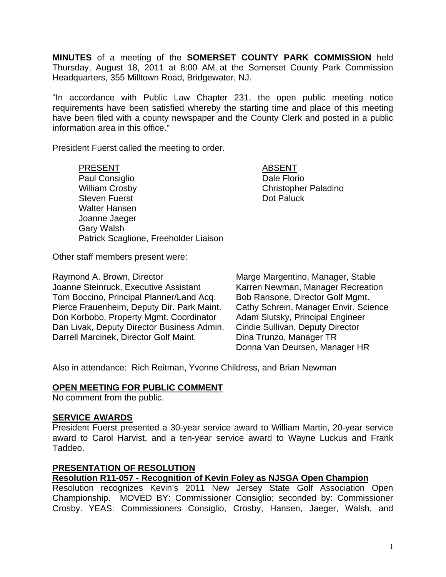**MINUTES** of a meeting of the **SOMERSET COUNTY PARK COMMISSION** held Thursday, August 18, 2011 at 8:00 AM at the Somerset County Park Commission Headquarters, 355 Milltown Road, Bridgewater, NJ.

"In accordance with Public Law Chapter 231, the open public meeting notice requirements have been satisfied whereby the starting time and place of this meeting have been filed with a county newspaper and the County Clerk and posted in a public information area in this office."

President Fuerst called the meeting to order.

PRESENT ABSENT Paul Consiglio **Dale Florio** Dale Florio William Crosby **Christopher Paladino** Steven Fuerst **Dot Paluck**  Walter Hansen Joanne Jaeger Gary Walsh Patrick Scaglione, Freeholder Liaison

Other staff members present were:

Raymond A. Brown, Director **Marge Margentino, Manager, Stable** Joanne Steinruck, Executive Assistant Karren Newman, Manager Recreation Tom Boccino, Principal Planner/Land Acq. Bob Ransone, Director Golf Mgmt. Pierce Frauenheim, Deputy Dir. Park Maint. Cathy Schrein, Manager Envir. Science Don Korbobo, Property Mgmt. Coordinator Adam Slutsky, Principal Engineer<br>Dan Livak, Deputy Director Business Admin. Cindie Sullivan. Deputy Director Dan Livak, Deputy Director Business Admin. Darrell Marcinek, Director Golf Maint. Dina Trunzo, Manager TR

Donna Van Deursen, Manager HR

Also in attendance: Rich Reitman, Yvonne Childress, and Brian Newman

### **OPEN MEETING FOR PUBLIC COMMENT**

No comment from the public.

#### **SERVICE AWARDS**

President Fuerst presented a 30-year service award to William Martin, 20-year service award to Carol Harvist, and a ten-year service award to Wayne Luckus and Frank Taddeo.

### **PRESENTATION OF RESOLUTION**

### **Resolution R11-057 - Recognition of Kevin Foley as NJSGA Open Champion**

Resolution recognizes Kevin's 2011 New Jersey State Golf Association Open Championship. MOVED BY: Commissioner Consiglio; seconded by: Commissioner Crosby. YEAS: Commissioners Consiglio, Crosby, Hansen, Jaeger, Walsh, and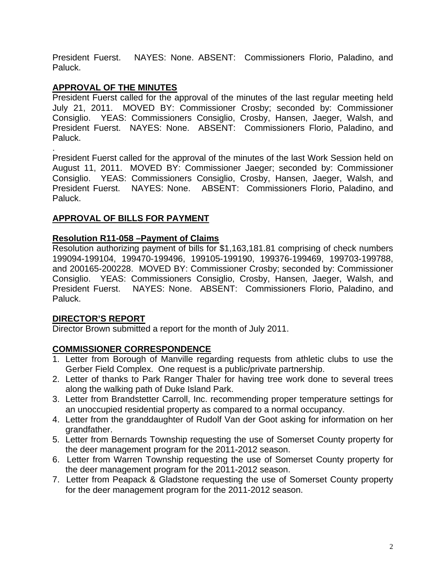President Fuerst. NAYES: None. ABSENT: Commissioners Florio, Paladino, and Paluck.

# **APPROVAL OF THE MINUTES**

President Fuerst called for the approval of the minutes of the last regular meeting held July 21, 2011. MOVED BY: Commissioner Crosby; seconded by: Commissioner Consiglio. YEAS: Commissioners Consiglio, Crosby, Hansen, Jaeger, Walsh, and President Fuerst. NAYES: None. ABSENT: Commissioners Florio, Paladino, and Paluck.

. President Fuerst called for the approval of the minutes of the last Work Session held on August 11, 2011. MOVED BY: Commissioner Jaeger; seconded by: Commissioner Consiglio. YEAS: Commissioners Consiglio, Crosby, Hansen, Jaeger, Walsh, and President Fuerst. NAYES: None. ABSENT: Commissioners Florio, Paladino, and Paluck.

## **APPROVAL OF BILLS FOR PAYMENT**

## **Resolution R11-058 –Payment of Claims**

Resolution authorizing payment of bills for \$1,163,181.81 comprising of check numbers 199094-199104, 199470-199496, 199105-199190, 199376-199469, 199703-199788, and 200165-200228. MOVED BY: Commissioner Crosby; seconded by: Commissioner Consiglio. YEAS: Commissioners Consiglio, Crosby, Hansen, Jaeger, Walsh, and President Fuerst. NAYES: None. ABSENT: Commissioners Florio, Paladino, and Paluck.

# **DIRECTOR'S REPORT**

Director Brown submitted a report for the month of July 2011.

# **COMMISSIONER CORRESPONDENCE**

- 1. Letter from Borough of Manville regarding requests from athletic clubs to use the Gerber Field Complex. One request is a public/private partnership.
- 2. Letter of thanks to Park Ranger Thaler for having tree work done to several trees along the walking path of Duke Island Park.
- 3. Letter from Brandstetter Carroll, Inc. recommending proper temperature settings for an unoccupied residential property as compared to a normal occupancy.
- 4. Letter from the granddaughter of Rudolf Van der Goot asking for information on her grandfather.
- 5. Letter from Bernards Township requesting the use of Somerset County property for the deer management program for the 2011-2012 season.
- 6. Letter from Warren Township requesting the use of Somerset County property for the deer management program for the 2011-2012 season.
- 7. Letter from Peapack & Gladstone requesting the use of Somerset County property for the deer management program for the 2011-2012 season.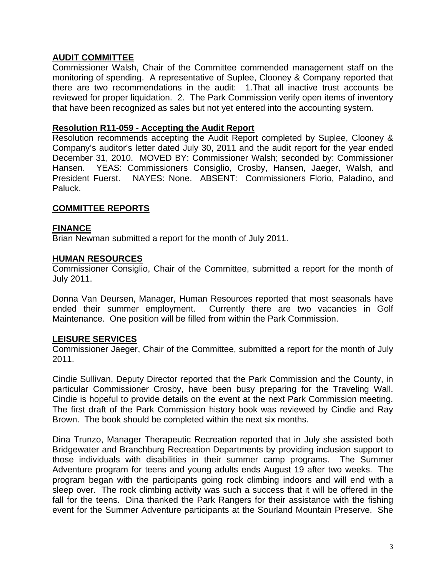## **AUDIT COMMITTEE**

Commissioner Walsh, Chair of the Committee commended management staff on the monitoring of spending. A representative of Suplee, Clooney & Company reported that there are two recommendations in the audit: 1.That all inactive trust accounts be reviewed for proper liquidation. 2. The Park Commission verify open items of inventory that have been recognized as sales but not yet entered into the accounting system.

#### **Resolution R11-059 - Accepting the Audit Report**

Resolution recommends accepting the Audit Report completed by Suplee, Clooney & Company's auditor's letter dated July 30, 2011 and the audit report for the year ended December 31, 2010. MOVED BY: Commissioner Walsh; seconded by: Commissioner Hansen. YEAS: Commissioners Consiglio, Crosby, Hansen, Jaeger, Walsh, and President Fuerst. NAYES: None. ABSENT: Commissioners Florio, Paladino, and Paluck.

### **COMMITTEE REPORTS**

#### **FINANCE**

Brian Newman submitted a report for the month of July 2011.

#### **HUMAN RESOURCES**

Commissioner Consiglio, Chair of the Committee, submitted a report for the month of July 2011.

Donna Van Deursen, Manager, Human Resources reported that most seasonals have ended their summer employment. Currently there are two vacancies in Golf Maintenance. One position will be filled from within the Park Commission.

### **LEISURE SERVICES**

Commissioner Jaeger, Chair of the Committee, submitted a report for the month of July 2011.

Cindie Sullivan, Deputy Director reported that the Park Commission and the County, in particular Commissioner Crosby, have been busy preparing for the Traveling Wall. Cindie is hopeful to provide details on the event at the next Park Commission meeting. The first draft of the Park Commission history book was reviewed by Cindie and Ray Brown. The book should be completed within the next six months.

Dina Trunzo, Manager Therapeutic Recreation reported that in July she assisted both Bridgewater and Branchburg Recreation Departments by providing inclusion support to those individuals with disabilities in their summer camp programs. The Summer Adventure program for teens and young adults ends August 19 after two weeks. The program began with the participants going rock climbing indoors and will end with a sleep over. The rock climbing activity was such a success that it will be offered in the fall for the teens. Dina thanked the Park Rangers for their assistance with the fishing event for the Summer Adventure participants at the Sourland Mountain Preserve. She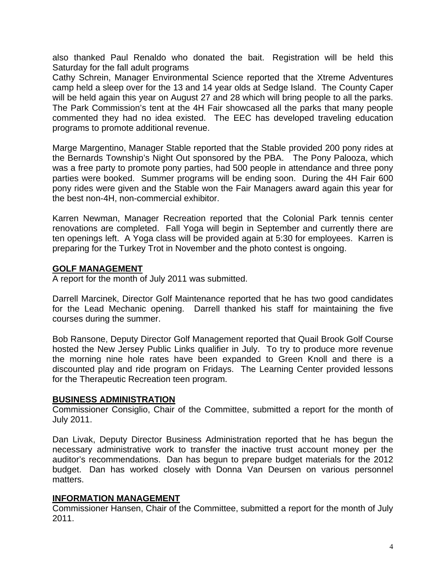also thanked Paul Renaldo who donated the bait. Registration will be held this Saturday for the fall adult programs

Cathy Schrein, Manager Environmental Science reported that the Xtreme Adventures camp held a sleep over for the 13 and 14 year olds at Sedge Island. The County Caper will be held again this year on August 27 and 28 which will bring people to all the parks. The Park Commission's tent at the 4H Fair showcased all the parks that many people commented they had no idea existed. The EEC has developed traveling education programs to promote additional revenue.

Marge Margentino, Manager Stable reported that the Stable provided 200 pony rides at the Bernards Township's Night Out sponsored by the PBA. The Pony Palooza, which was a free party to promote pony parties, had 500 people in attendance and three pony parties were booked. Summer programs will be ending soon. During the 4H Fair 600 pony rides were given and the Stable won the Fair Managers award again this year for the best non-4H, non-commercial exhibitor.

Karren Newman, Manager Recreation reported that the Colonial Park tennis center renovations are completed. Fall Yoga will begin in September and currently there are ten openings left. A Yoga class will be provided again at 5:30 for employees. Karren is preparing for the Turkey Trot in November and the photo contest is ongoing.

## **GOLF MANAGEMENT**

A report for the month of July 2011 was submitted.

Darrell Marcinek, Director Golf Maintenance reported that he has two good candidates for the Lead Mechanic opening. Darrell thanked his staff for maintaining the five courses during the summer.

Bob Ransone, Deputy Director Golf Management reported that Quail Brook Golf Course hosted the New Jersey Public Links qualifier in July. To try to produce more revenue the morning nine hole rates have been expanded to Green Knoll and there is a discounted play and ride program on Fridays. The Learning Center provided lessons for the Therapeutic Recreation teen program.

### **BUSINESS ADMINISTRATION**

Commissioner Consiglio, Chair of the Committee, submitted a report for the month of July 2011.

Dan Livak, Deputy Director Business Administration reported that he has begun the necessary administrative work to transfer the inactive trust account money per the auditor's recommendations. Dan has begun to prepare budget materials for the 2012 budget. Dan has worked closely with Donna Van Deursen on various personnel matters.

### **INFORMATION MANAGEMENT**

Commissioner Hansen, Chair of the Committee, submitted a report for the month of July 2011.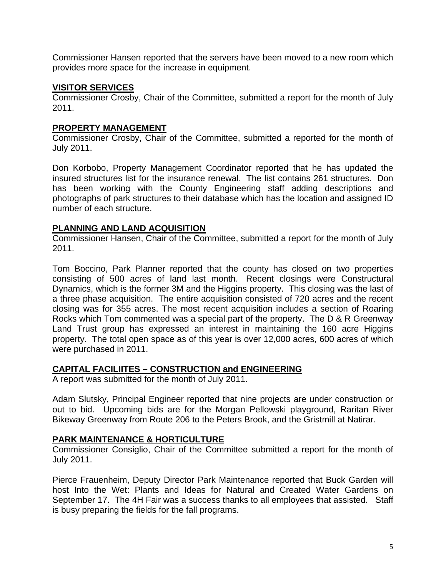Commissioner Hansen reported that the servers have been moved to a new room which provides more space for the increase in equipment.

### **VISITOR SERVICES**

Commissioner Crosby, Chair of the Committee, submitted a report for the month of July 2011.

### **PROPERTY MANAGEMENT**

Commissioner Crosby, Chair of the Committee, submitted a reported for the month of July 2011.

Don Korbobo, Property Management Coordinator reported that he has updated the insured structures list for the insurance renewal. The list contains 261 structures. Don has been working with the County Engineering staff adding descriptions and photographs of park structures to their database which has the location and assigned ID number of each structure.

## **PLANNING AND LAND ACQUISITION**

Commissioner Hansen, Chair of the Committee, submitted a report for the month of July 2011.

Tom Boccino, Park Planner reported that the county has closed on two properties consisting of 500 acres of land last month. Recent closings were Constructural Dynamics, which is the former 3M and the Higgins property. This closing was the last of a three phase acquisition. The entire acquisition consisted of 720 acres and the recent closing was for 355 acres. The most recent acquisition includes a section of Roaring Rocks which Tom commented was a special part of the property. The D & R Greenway Land Trust group has expressed an interest in maintaining the 160 acre Higgins property. The total open space as of this year is over 12,000 acres, 600 acres of which were purchased in 2011.

# **CAPITAL FACILIITES – CONSTRUCTION and ENGINEERING**

A report was submitted for the month of July 2011.

Adam Slutsky, Principal Engineer reported that nine projects are under construction or out to bid. Upcoming bids are for the Morgan Pellowski playground, Raritan River Bikeway Greenway from Route 206 to the Peters Brook, and the Gristmill at Natirar.

### **PARK MAINTENANCE & HORTICULTURE**

Commissioner Consiglio, Chair of the Committee submitted a report for the month of July 2011.

Pierce Frauenheim, Deputy Director Park Maintenance reported that Buck Garden will host Into the Wet: Plants and Ideas for Natural and Created Water Gardens on September 17. The 4H Fair was a success thanks to all employees that assisted. Staff is busy preparing the fields for the fall programs.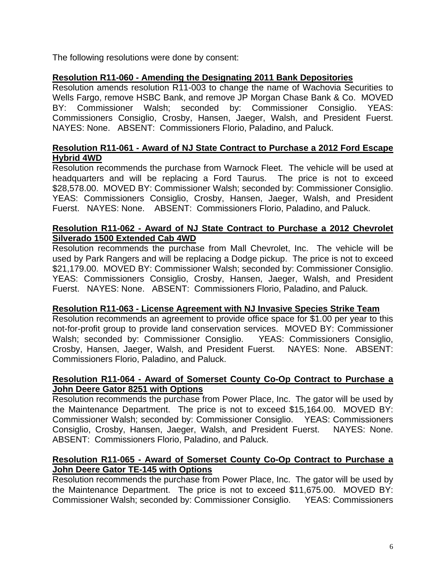The following resolutions were done by consent:

## **Resolution R11-060 - Amending the Designating 2011 Bank Depositories**

Resolution amends resolution R11-003 to change the name of Wachovia Securities to Wells Fargo, remove HSBC Bank, and remove JP Morgan Chase Bank & Co. MOVED BY: Commissioner Walsh; seconded by: Commissioner Consiglio. YEAS: Commissioners Consiglio, Crosby, Hansen, Jaeger, Walsh, and President Fuerst. NAYES: None. ABSENT: Commissioners Florio, Paladino, and Paluck.

## **Resolution R11-061 - Award of NJ State Contract to Purchase a 2012 Ford Escape Hybrid 4WD**

Resolution recommends the purchase from Warnock Fleet. The vehicle will be used at headquarters and will be replacing a Ford Taurus. The price is not to exceed \$28,578.00. MOVED BY: Commissioner Walsh; seconded by: Commissioner Consiglio. YEAS: Commissioners Consiglio, Crosby, Hansen, Jaeger, Walsh, and President Fuerst. NAYES: None. ABSENT: Commissioners Florio, Paladino, and Paluck.

### **Resolution R11-062 - Award of NJ State Contract to Purchase a 2012 Chevrolet Silverado 1500 Extended Cab 4WD**

Resolution recommends the purchase from Mall Chevrolet, Inc. The vehicle will be used by Park Rangers and will be replacing a Dodge pickup. The price is not to exceed \$21,179.00. MOVED BY: Commissioner Walsh; seconded by: Commissioner Consiglio. YEAS: Commissioners Consiglio, Crosby, Hansen, Jaeger, Walsh, and President Fuerst. NAYES: None. ABSENT: Commissioners Florio, Paladino, and Paluck.

### **Resolution R11-063 - License Agreement with NJ Invasive Species Strike Team**

Resolution recommends an agreement to provide office space for \$1.00 per year to this not-for-profit group to provide land conservation services. MOVED BY: Commissioner Walsh; seconded by: Commissioner Consiglio. YEAS: Commissioners Consiglio, Crosby, Hansen, Jaeger, Walsh, and President Fuerst. NAYES: None. ABSENT: Commissioners Florio, Paladino, and Paluck.

### **Resolution R11-064 - Award of Somerset County Co-Op Contract to Purchase a John Deere Gator 8251 with Options**

Resolution recommends the purchase from Power Place, Inc. The gator will be used by the Maintenance Department. The price is not to exceed \$15,164.00. MOVED BY: Commissioner Walsh; seconded by: Commissioner Consiglio. YEAS: Commissioners Consiglio, Crosby, Hansen, Jaeger, Walsh, and President Fuerst. NAYES: None. ABSENT: Commissioners Florio, Paladino, and Paluck.

## **Resolution R11-065 - Award of Somerset County Co-Op Contract to Purchase a John Deere Gator TE-145 with Options**

Resolution recommends the purchase from Power Place, Inc. The gator will be used by the Maintenance Department. The price is not to exceed \$11,675.00. MOVED BY: Commissioner Walsh; seconded by: Commissioner Consiglio. YEAS: Commissioners